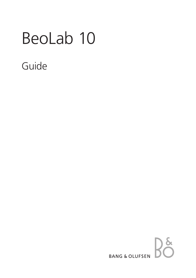# BeoLab 10

# Guide

# $36$ **BANG & OLUFSEN**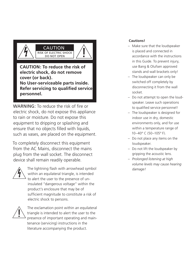

**No User-serviceable parts inside. Refer servicing to qualified service personnel.**

WARNING: To reduce the risk of fire or electric shock, do not expose this appliance to rain or moisture. Do not expose this equipment to dripping or splashing and ensure that no objects filled with liquids, such as vases, are placed on the equipment.

To completely disconnect this equipment from the AC Mains, disconnect the mains plug from the wall socket. The disconnect device shall remain readily operable.



The lightning flash with arrowhead symbol within an equilateral triangle, is intended to alert the user to the presence of uninsulated "dangerous voltage" within the product's enclosure that may be of sufficient magnitude to constitute a risk of electric shock to persons.



The exclamation point within an equilateral triangle is intended to alert the user to the presence of important operating and maintenance (servicing) instructions in the literature accompanying the product.

# **Cautions!**

- Make sure that the loudspeaker is placed and connected in accordance with the instructions in this Guide. To prevent injury, use Bang & Olufsen approved stands and wall brackets only!
- The loudspeaker can only be switched off completely by disconnecting it from the wall socket.
- Do not attempt to open the loudspeaker. Leave such operations to qualified service personnel!
- The loudspeaker is designed for indoor use in dry, domestic environments only, and for use within a temperature range of 10–40º C (50–105º F).
- Do not place any items on the loudspeaker.
- Do not lift the loudspeaker by gripping the acoustic lens.
- *Prolonged listening at high volume levels may cause hearing damage!*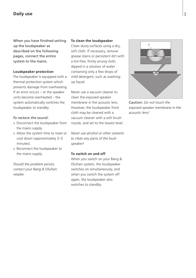# **Daily use**

When you have finished setting up the loudspeaker as described on the following pages, connect the entire system to the mains.

### **Loudspeaker protection**

The loudspeaker is equipped with a thermal protection system which prevents damage from overheating. If an error occurs – or the speaker units become overheated – the system automatically switches the loudspeaker to standby.

#### *To restore the sound:*

- > Disconnect the loudspeaker from the mains supply.
- > Allow the system time to reset or cool down (approximately 3–5 minutes).
- > Reconnect the loudspeaker to the mains supply.

*Should the problem persist, contact your Bang & Olufsen retailer.* 

#### **To clean the loudspeaker**

Clean dusty surfaces using a dry, soft cloth. If necessary, remove grease stains or persistent dirt with a lint-free, firmly wrung cloth, dipped in a solution of water containing only a few drops of *mild* detergent, such as washingup liquid.

Never use a vacuum cleaner to clean the exposed speaker membrane in the acoustic lens. However, the loudspeaker front cloth may be cleaned with a vacuum cleaner with a soft brush nozzle, and set to the lowest level.

*Never use alcohol or other solvents to clean any parts of the loudspeaker!* 

## **To switch on and off**

When you switch on your Bang & Olufsen system, the loudspeaker switches on simultaneously, and when you switch the system off again, the loudspeaker also switches to standby.

*!*

Caution: *Do not touch the exposed speaker membrane in the acoustic lens!*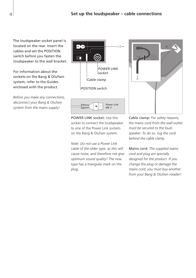The loudspeaker socket panel is located on the rear. Insert the cables and set the POSITION switch before you fasten the loudspeaker to the wall bracket.

For information about the sockets on the Bang & Olufsen system, refer to the Guides enclosed with the product.

*Before you make any connections, disconnect your Bang & Olufsen system from the mains supply!* 



POWER LINK socket: Use this socket to connect the loudspeaker to one of the Power Link sockets on the Bang & Olufsen system.

*Note: Do not use a Power Link cable of the older type, as this will cause noise, and therefore not give optimum sound quality! The new type has a triangular mark on the plug.* 



Cable clamp: *For safety reasons, the mains cord from the wall outlet must be secured to the loudspeaker. To do so, tug the cord behind the cable clamp.* 

Mains cord: *The supplied mains cord and plug are specially designed for the product. If you change the plug or damage the mains cord, you must buy another from your Bang & Olufsen retailer!*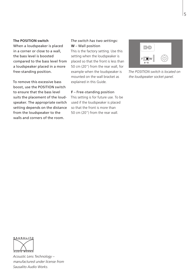#### **The POSITION switch**

When a loudspeaker is placed in a corner or close to a wall, the bass level is boosted compared to the bass level from a loudspeaker placed in a more free-standing position.

To remove this excessive bass boost, use the POSITION switch to ensure that the bass level suits the placement of the loudspeaker. The appropriate switch setting depends on the distance from the loudspeaker to the walls and corners of the room.

# *The switch has two settings:*  **W** – Wall position

This is the factory setting. Use this setting when the loudspeaker is placed so that the front is less than 50 cm (20") from the rear wall, for example when the loudspeaker is mounted on the wall bracket as explained in this Guide.

## **F** – Free-standing position

This setting is for future use. To be used if the loudspeaker is placed so that the front is more than 50 cm (20") from the rear wall.



*The POSITION switch is located on the loudspeaker socket panel.* 



*Acoustic Lens Technology – manufactured under license from Sausalito Audio Works.*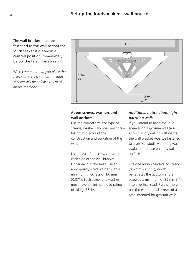The wall bracket must be fastened to the wall so that the loudspeaker is placed in a centred position immediately below the television screen.

*We recommend that you place the television screen so that the loudspeaker will be at least 10 cm (4") above the floor.* 



# **About screws, washers and wall anchors**

Use the correct size and type of screws, washers and wall anchors – taking into account the construction and condition of the wall.

Use at least four screws – two in each side of the wall bracket. Under each screw head use an appropriatly sized washer with a minimum thickness of 1.6 mm (0.07"). Each screw and washer must have a minimum load rating of 16 kg (35 lbs).

# *Additional notice about light partition walls:*

If you intend to hang the loudspeaker on a gypsum wall (also known as drywall or wallboard), the wall bracket *must be* fastened to a vertical stud! Mounting was evaluated for use on a drywall surface.

Use one round-headed lag screw (ø 6 mm – 0.23"), which penetrates the gypsum and is screwed a minimum of 25 mm (1") into a vertical stud. Furthermore, use three additional screws of a type intended for gypsum walls.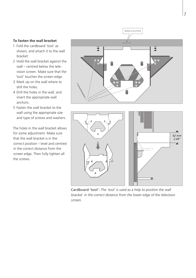#### **To fasten the wall bracket**

- 1 Fold the cardboard 'tool' as shown, and attach it to the wall bracket.
- 2 Hold the wall bracket against the wall – centred below the television screen. Make sure that the 'tool' touches the screen edge.
- 3 Mark up on the wall where to drill the holes.
- 4 Drill the holes in the wall, and insert the appropriate wall anchors.
- 5 Fasten the wall bracket to the wall using the appropriate size and type of screws and washers.

The holes in the wall bracket allows for some adjustment. Make sure that the wall bracket is in the correct position – level and centred in the correct distance from the screen edge. Then fully tighten all the screws.



Cardboard 'tool': *The 'tool' is used as a help to position the wall bracket in the correct distance from the lower edge of the television screen.* 

TIII.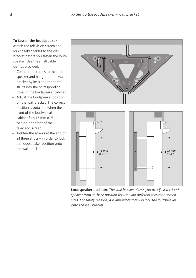#### **To fasten the loudspeaker**

Attach the television screen and loudspeaker cables to the wall bracket before you fasten the loudspeaker. Use the small cable clamps provided.

- Connect the cables to the loudspeaker and hang it on the wall bracket by inserting the three struts into the corresponding holes in the loudspeaker cabinet.
- Adjust the loudspeaker position on the wall bracket. The correct position is obtained when the front of the loud¬speaker cabinet falls 13 mm (0.51") 'behind' the front of the television screen.
- Tighten the screws at the end of all three struts – in order to lock the loudspeaker position onto the wall bracket.





Loudspeaker position: *The wall bracket allows you to adjust the loudspeaker front-to-back position for use with different television screen sizes. For safety reasons, it is important that you lock the loudspeaker onto the wall bracket!*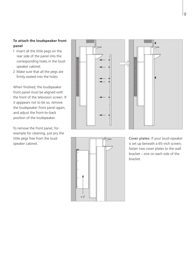# **To attach the loudspeaker front panel**

- 1 Insert all the little pegs on the rear side of the panel into the corresponding holes in the loudspeaker cabinet.
- 2 Make sure that all the pegs are firmly seated into the holes.

When finished, the loudspeaker front panel must be aligned with the front of the television screen. If it apppears not to be so, remove the loudspeaker front panel again, and adjust the front-to-back position of the loudspeaker.

To remove the front panel, for example for cleaning, just pry the little pegs free from the loudspeaker cabinet.





Cover plates: If your loud¬speaker is set up beneath a 65-inch screen, fasten two cover plates to the wall bracket – one on each side of the bracket.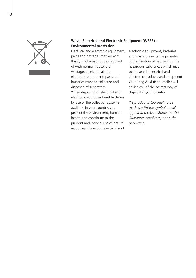

# **Waste Electrical and Electronic Equipment (WEEE) – Environmental protection**

Electrical and electronic equipment, parts and batteries marked with this symbol must not be disposed of with normal household wastage; all electrical and electronic equipment, parts and batteries must be collected and disposed of separately. When disposing of electrical and electronic equipment and batteries by use of the collection systems available in your country, you protect the environment, human health and contribute to the prudent and rational use of natural resources. Collecting electrical and

electronic equipment, batteries and waste prevents the potential contamination of nature with the hazardous substances which may be present in electrical and electronic products and equipment Your Bang & Olufsen retailer will advise you of the correct way of disposal in your country.

*If a product is too small to be marked with the symbol, it will appear in the User Guide, on the Guarantee certificate, or on the packaging.*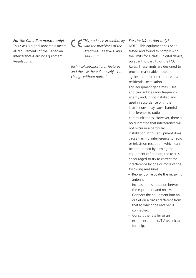*For the Canadian market only!*  This class B digital apparatus meets all requirements of the Canadian Interference-Causing Equipment Regulations.

*This product is in conformity with the provisions of the Directives 1999/5/EC and 2006/95/EC.* 

*Technical specifications, features and the use thereof are subject to change without notice!* 

#### *For the US-market only!*

NOTE: This equipment has been tested and found to comply with the limits for a class B digital device, pursuant to part 15 of the FCC Rules. These limits are designed to provide reasonable protection against harmful interference in a residential installation. This equipment generates, uses and can radiate radio frequency energy and, if not installed and used in accordance with the instructions, may cause harmful interference to radio communications. However, there is no guarantee that interference will not occur in a particular installation. If this equipment does cause harmful interference to radio or television reception, which can be determined by turning the equipment off and on, the user is encouraged to try to correct the interference by one or more of the following measures:

- Reorient or relocate the receiving antenna.
- Increase the separation between the equipment and receiver.
- Connect the equipment into an outlet on a circuit different from that to which the receiver is connected.
- Consult the retailer or an experienced radio/TV technician for help.